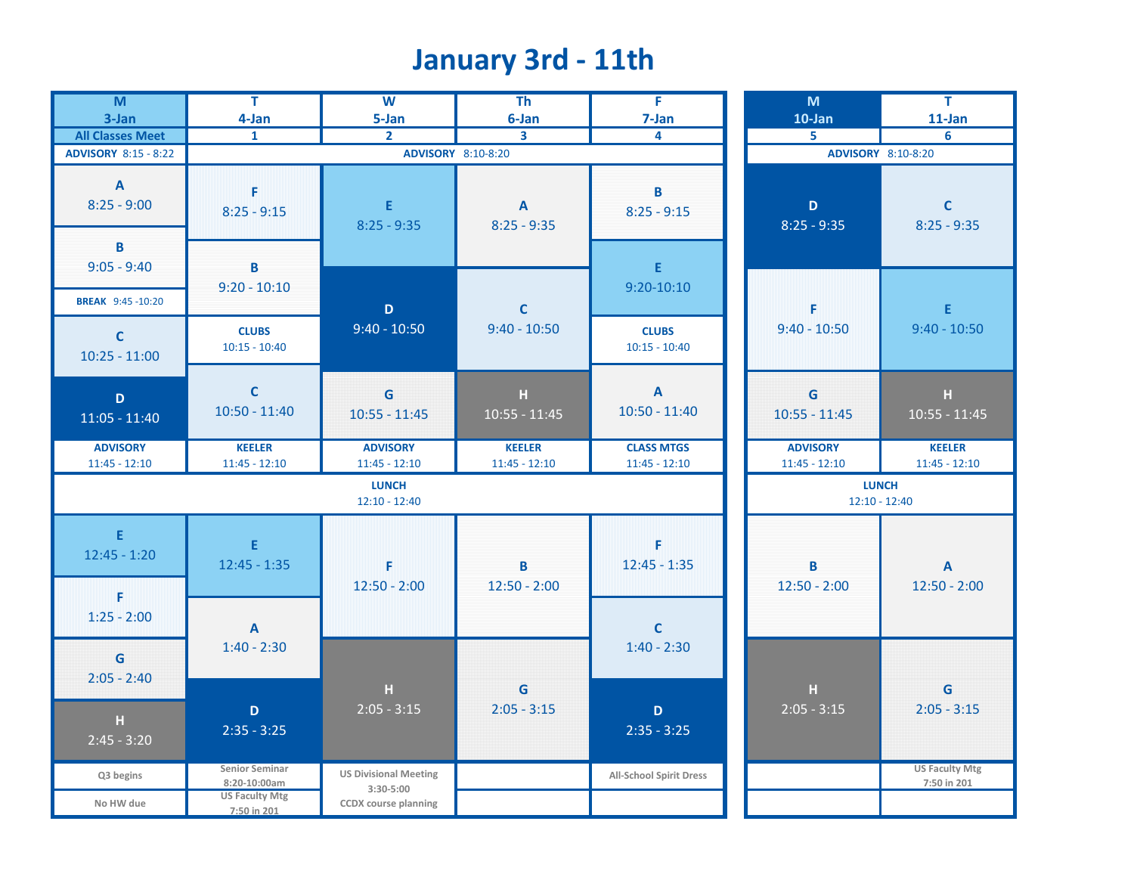# **January 3rd - 11th**

| $\overline{M}$                            | $\overline{\mathsf{T}}$                          | $\overline{\mathbf{w}}$                  | T <sub>h</sub>                | Ŧ                                   | M                               | $\overline{\mathsf{T}}$                     |
|-------------------------------------------|--------------------------------------------------|------------------------------------------|-------------------------------|-------------------------------------|---------------------------------|---------------------------------------------|
| 3-Jan                                     | 4-Jan                                            | 5-Jan                                    | 6-Jan                         | 7-Jan                               | 10-Jan                          | $11$ -Jan                                   |
| <b>All Classes Meet</b>                   | $\mathbf{1}$                                     | $\overline{2}$                           | 3                             | 4                                   | 5                               | 6                                           |
| <b>ADVISORY 8:15 - 8:22</b>               |                                                  |                                          | ADVISORY 8:10-8:20            |                                     | ADVISORY 8:10-8:20              |                                             |
| A<br>$8:25 - 9:00$<br>B                   | F<br>$8:25 - 9:15$                               | E<br>$8:25 - 9:35$                       | $\mathbf{A}$<br>$8:25 - 9:35$ | B<br>$8:25 - 9:15$                  | $\mathbf D$<br>$8:25 - 9:35$    | $\mathsf{C}$<br>$8:25 - 9:35$               |
| $9:05 - 9:40$                             | B                                                |                                          |                               | E                                   |                                 |                                             |
| <b>BREAK</b> 9:45 -10:20                  | $9:20 - 10:10$                                   | $\mathbf D$                              | $\mathbf c$                   | $9:20 - 10:10$                      | F                               | E.                                          |
| $\mathsf{C}$<br>$10:25 - 11:00$           | <b>CLUBS</b><br>$10:15 - 10:40$                  | $9:40 - 10:50$                           | $9:40 - 10:50$                | <b>CLUBS</b><br>$10:15 - 10:40$     | $9:40 - 10:50$                  | $9:40 - 10:50$                              |
| D<br>$11:05 - 11:40$                      | $\mathsf{C}$<br>$10:50 - 11:40$                  | $\mathbf G$<br>$10:55 - 11:45$           | н<br>$10:55 - 11:45$          | $\mathbf{A}$<br>$10:50 - 11:40$     | G<br>$10:55 - 11:45$            | H<br>$10:55 - 11:45$                        |
| <b>ADVISORY</b>                           | <b>KEELER</b>                                    | <b>ADVISORY</b>                          | <b>KEELER</b>                 | <b>CLASS MTGS</b>                   | <b>ADVISORY</b>                 | <b>KEELER</b>                               |
| $11:45 - 12:10$                           | $11:45 - 12:10$                                  | $11:45 - 12:10$                          | $11:45 - 12:10$               | $11:45 - 12:10$                     | $11:45 - 12:10$                 | $11:45 - 12:10$                             |
|                                           |                                                  | <b>LUNCH</b><br>$12:10 - 12:40$          |                               |                                     | <b>LUNCH</b><br>$12:10 - 12:40$ |                                             |
| E<br>$12:45 - 1:20$<br>F<br>$1:25 - 2:00$ | E<br>$12:45 - 1:35$<br>$\boldsymbol{\mathsf{A}}$ | F<br>$12:50 - 2:00$                      | B<br>$12:50 - 2:00$           | F<br>$12:45 - 1:35$<br>$\mathsf{C}$ | B<br>$12:50 - 2:00$             | $\boldsymbol{\mathsf{A}}$<br>$12:50 - 2:00$ |
| G<br>$2:05 - 2:40$                        | $1:40 - 2:30$                                    | H                                        | $\mathsf G$                   | $1:40 - 2:30$                       | H                               | G                                           |
| H<br>$2:45 - 3:20$                        | $\mathbf D$<br>$2:35 - 3:25$                     | $2:05 - 3:15$                            | $2:05 - 3:15$                 | D<br>$2:35 - 3:25$                  | $2:05 - 3:15$                   | $2:05 - 3:15$                               |
| Q3 begins                                 | <b>Senior Seminar</b><br>8:20-10:00am            | <b>US Divisional Meeting</b>             |                               | All-School Spirit Dress             |                                 | <b>US Faculty Mtg</b><br>7:50 in 201        |
| No HW due                                 | <b>US Faculty Mtg</b><br>7:50 in 201             | 3:30-5:00<br><b>CCDX</b> course planning |                               |                                     |                                 |                                             |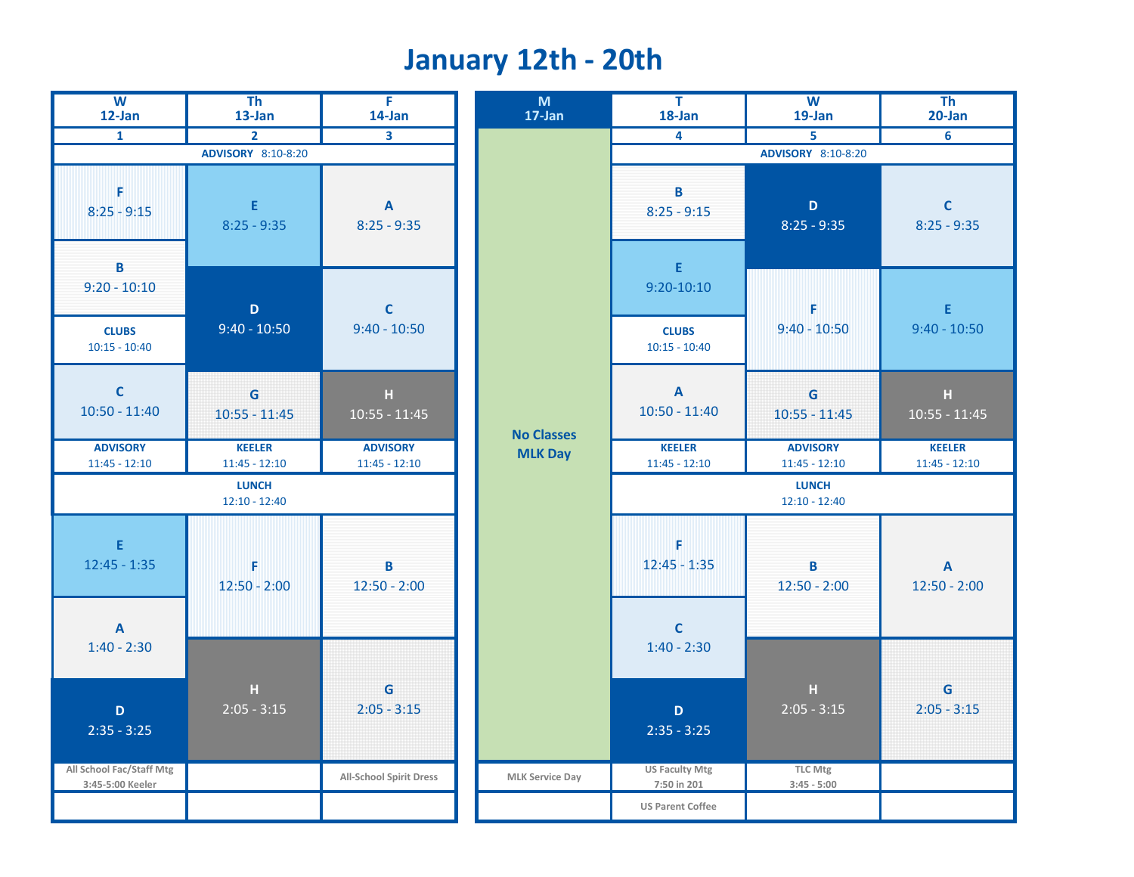## **January 12th - 20th**

| $\overline{w}$<br>12-Jan                          | T <sub>h</sub><br>13-Jan         | $\overline{F}$<br>14-Jan                   | M<br>17-Jan            | $\overline{\mathsf{T}}$<br>18-Jan    | $\overline{w}$<br>19-Jan           | $\overline{Th}$<br>$20$ -Jan     |
|---------------------------------------------------|----------------------------------|--------------------------------------------|------------------------|--------------------------------------|------------------------------------|----------------------------------|
| $\overline{1}$                                    | $\overline{2}$                   | $\mathbf{3}$                               |                        | 4                                    | 5                                  | $6\phantom{1}6$                  |
|                                                   | ADVISORY 8:10-8:20               |                                            |                        |                                      | ADVISORY 8:10-8:20                 |                                  |
| F<br>$8:25 - 9:15$                                | E<br>$8:25 - 9:35$               | $\boldsymbol{\mathsf{A}}$<br>$8:25 - 9:35$ |                        | B<br>$8:25 - 9:15$                   | $\mathbf{D}$<br>$8:25 - 9:35$      | $\mathbf C$<br>$8:25 - 9:35$     |
| B<br>$9:20 - 10:10$<br><b>CLUBS</b>               | $\mathsf D$<br>$9:40 - 10:50$    | $\mathsf C$<br>$9:40 - 10:50$              |                        | E<br>$9:20-10:10$<br><b>CLUBS</b>    | F<br>$9:40 - 10:50$                | $\mathsf E$<br>$9:40 - 10:50$    |
| $10:15 - 10:40$<br>$\mathbf C$                    | G                                | $\mathbf H$                                |                        | $10:15 - 10:40$<br>$\mathbf{A}$      | G                                  | $\mathbf H$                      |
| $10:50 - 11:40$                                   | $10:55 - 11:45$                  | $10:55 - 11:45$                            | <b>No Classes</b>      | $10:50 - 11:40$                      | $10:55 - 11:45$                    | $10:55 - 11:45$                  |
| <b>ADVISORY</b><br>$11:45 - 12:10$                | <b>KEELER</b><br>$11:45 - 12:10$ | <b>ADVISORY</b><br>$11:45 - 12:10$         | <b>MLK Day</b>         | <b>KEELER</b><br>$11:45 - 12:10$     | <b>ADVISORY</b><br>$11:45 - 12:10$ | <b>KEELER</b><br>$11:45 - 12:10$ |
|                                                   | <b>LUNCH</b><br>$12:10 - 12:40$  |                                            |                        |                                      | <b>LUNCH</b><br>$12:10 - 12:40$    |                                  |
| E.<br>$12:45 - 1:35$<br>$\boldsymbol{\mathsf{A}}$ | F<br>$12:50 - 2:00$              | B<br>$12:50 - 2:00$                        |                        | F<br>$12:45 - 1:35$<br>$\mathbf{C}$  | B<br>$12:50 - 2:00$                | $\mathbf{A}$<br>$12:50 - 2:00$   |
| $1:40 - 2:30$                                     |                                  |                                            |                        | $1:40 - 2:30$                        |                                    |                                  |
| D<br>$2:35 - 3:25$                                | $\mathbf H$<br>$2:05 - 3:15$     | G<br>$2:05 - 3:15$                         |                        | $\mathbf D$<br>$2:35 - 3:25$         | н<br>$2:05 - 3:15$                 | G<br>$2:05 - 3:15$               |
| All School Fac/Staff Mtg<br>3:45-5:00 Keeler      |                                  | <b>All-School Spirit Dress</b>             | <b>MLK Service Day</b> | <b>US Faculty Mtg</b><br>7:50 in 201 | <b>TLC Mtg</b><br>$3:45 - 5:00$    |                                  |
|                                                   |                                  |                                            |                        | <b>US Parent Coffee</b>              |                                    |                                  |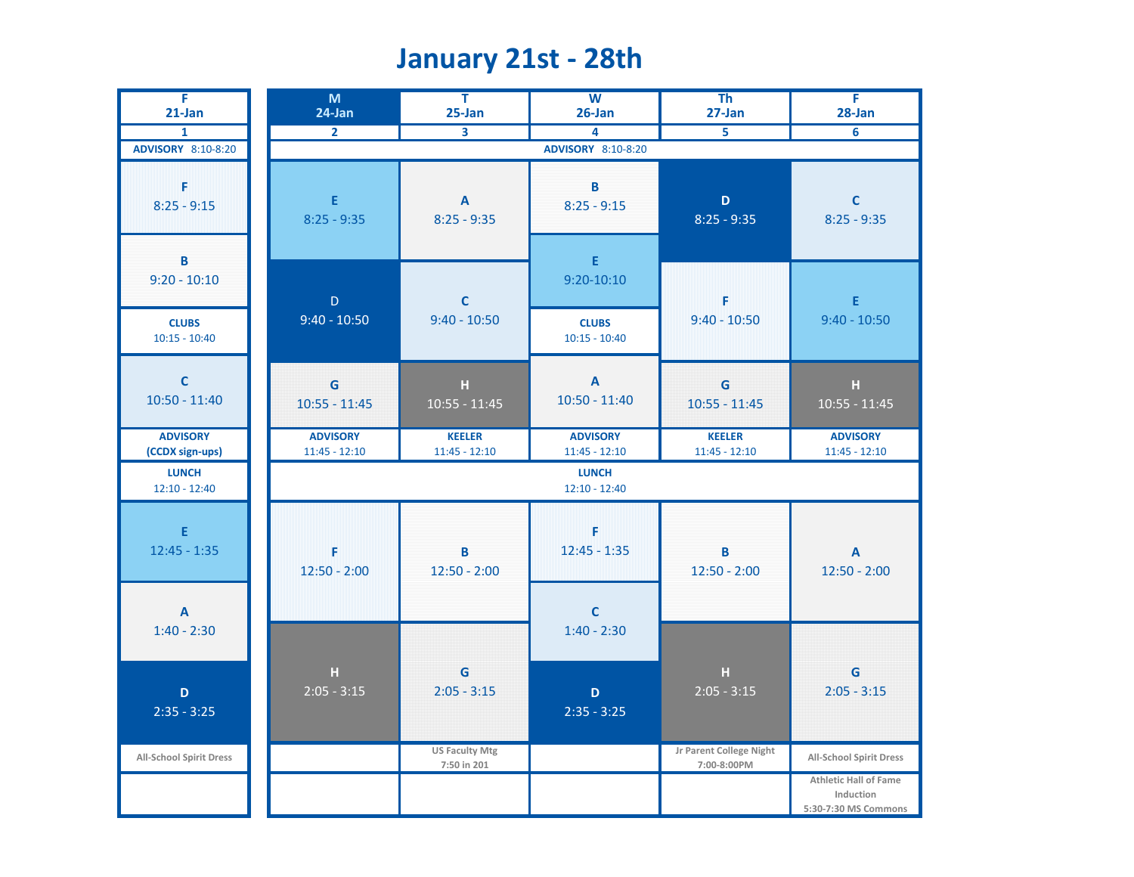#### **January 21st - 28th**

| F.<br>$21$ -Jan                    | M<br>24-Jan                        | T.<br>25-Jan                                                                         | $\overline{W}$<br>26-Jan           | <b>Th</b><br>27-Jan                       | F<br>28-Jan                                                       |
|------------------------------------|------------------------------------|--------------------------------------------------------------------------------------|------------------------------------|-------------------------------------------|-------------------------------------------------------------------|
| $\mathbf{1}$                       | $\overline{2}$                     | $\overline{\overline{\mathbf{3}}}$                                                   | 4                                  |                                           | 6                                                                 |
| <b>ADVISORY</b> 8:10-8:20          |                                    |                                                                                      | <b>ADVISORY</b> 8:10-8:20          |                                           |                                                                   |
| F<br>$8:25 - 9:15$<br>B            | E<br>$8:25 - 9:35$                 | $\boldsymbol{\mathsf{A}}$<br>$8:25 - 9:35$                                           | B<br>$8:25 - 9:15$<br>$\mathsf E$  | $\mathbf D$<br>$8:25 - 9:35$              | $\mathbf C$<br>$8:25 - 9:35$                                      |
| $9:20 - 10:10$                     | $\mathsf D$                        | $\mathbf{C}$                                                                         | $9:20 - 10:10$                     | F                                         | $\mathsf E$                                                       |
| <b>CLUBS</b><br>$10:15 - 10:40$    | $9:40 - 10:50$                     | $9:40 - 10:50$                                                                       | <b>CLUBS</b><br>$10:15 - 10:40$    | $9:40 - 10:50$                            | $9:40 - 10:50$                                                    |
| $\mathbf C$<br>$10:50 - 11:40$     | G<br>$10:55 - 11:45$               | $\mathsf{H}% _{\mathsf{H}}^{\ast}=\mathsf{H}_{\mathsf{H}}^{\ast}$<br>$10:55 - 11:45$ | $\mathbf{A}$<br>$10:50 - 11:40$    | G<br>$10:55 - 11:45$                      | $\mathbf H$<br>$10:55 - 11:45$                                    |
| <b>ADVISORY</b><br>(CCDX sign-ups) | <b>ADVISORY</b><br>$11:45 - 12:10$ | <b>KEELER</b><br>$11:45 - 12:10$                                                     | <b>ADVISORY</b><br>$11:45 - 12:10$ | <b>KEELER</b><br>$11:45 - 12:10$          | <b>ADVISORY</b><br>$11:45 - 12:10$                                |
| <b>LUNCH</b><br>$12:10 - 12:40$    |                                    |                                                                                      | <b>LUNCH</b><br>$12:10 - 12:40$    |                                           |                                                                   |
| E.<br>$12:45 - 1:35$               | F<br>$12:50 - 2:00$                | В<br>$12:50 - 2:00$                                                                  | F<br>$12:45 - 1:35$                | $\overline{\mathbf{B}}$<br>$12:50 - 2:00$ | $\boldsymbol{\mathsf{A}}$<br>$12:50 - 2:00$                       |
| A<br>$1:40 - 2:30$                 |                                    |                                                                                      | $\mathbf C$<br>$1:40 - 2:30$       |                                           |                                                                   |
| $\mathbf D$<br>$2:35 - 3:25$       | $\mathbf H$<br>$2:05 - 3:15$       | G<br>$2:05 - 3:15$                                                                   | D<br>$2:35 - 3:25$                 | $\mathbf H$<br>$2:05 - 3:15$              | G<br>$2:05 - 3:15$                                                |
| <b>All-School Spirit Dress</b>     |                                    | <b>US Faculty Mtg</b><br>7:50 in 201                                                 |                                    | Jr Parent College Night<br>7:00-8:00PM    | <b>All-School Spirit Dress</b>                                    |
|                                    |                                    |                                                                                      |                                    |                                           | <b>Athletic Hall of Fame</b><br>Induction<br>5:30-7:30 MS Commons |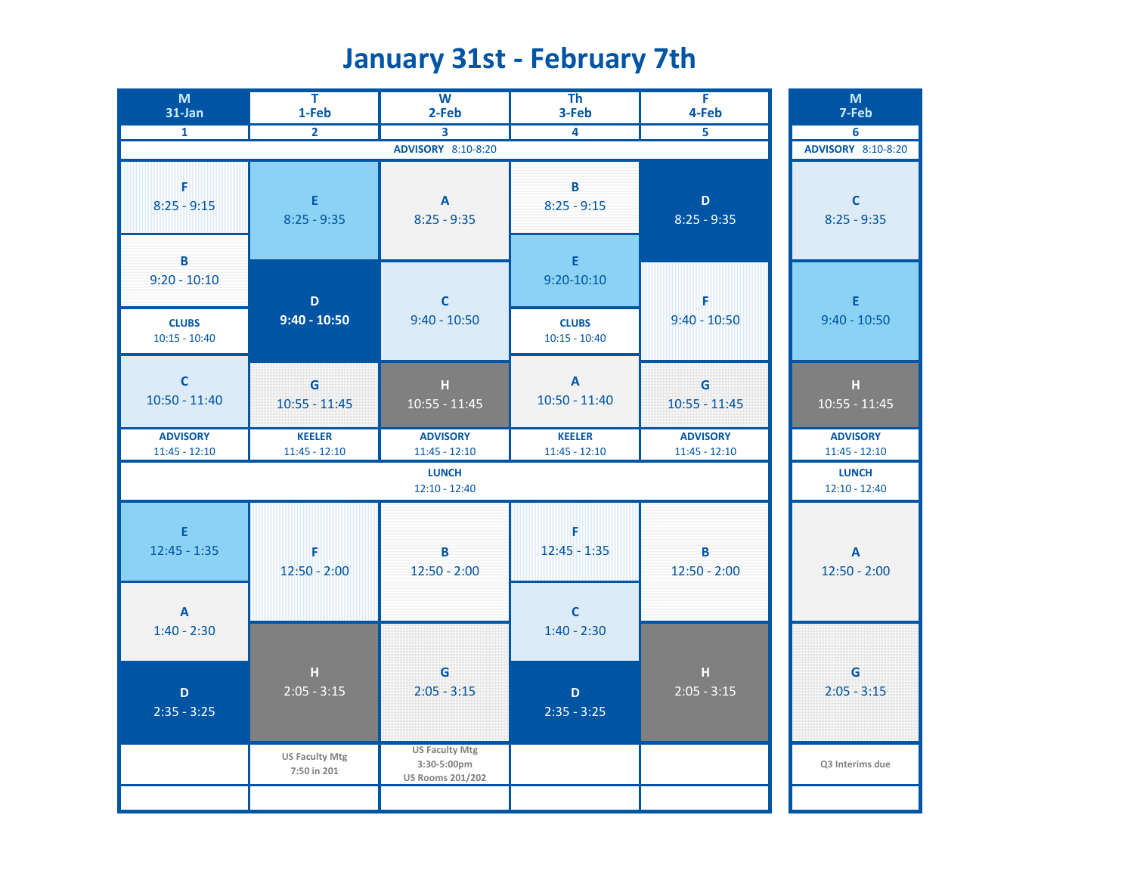# **January 31st - February 7th**

| M<br>31-Jan                                       | T<br>1-Feb                           | $\overline{W}$<br>2-Feb                                                   | T <sub>h</sub><br>3-Feb                           | Ŧ<br>4-Feb                                                           | M<br>7-Feb                         |
|---------------------------------------------------|--------------------------------------|---------------------------------------------------------------------------|---------------------------------------------------|----------------------------------------------------------------------|------------------------------------|
| $\mathbf{1}$                                      | $\overline{2}$                       | 3                                                                         | 4                                                 | $\overline{5}$                                                       | 6                                  |
|                                                   |                                      | <b>ADVISORY</b> 8:10-8:20                                                 |                                                   |                                                                      | <b>ADVISORY</b> 8:10-8:20          |
| F<br>$8:25 - 9:15$<br>$\, {\bf B} \,$             | $\mathsf E$<br>$8:25 - 9:35$         | $\boldsymbol{\mathsf{A}}$<br>$8:25 - 9:35$                                | B<br>$8:25 - 9:15$<br>$\mathsf E$                 | $\mathbf D$<br>$8:25 - 9:35$                                         | $\mathbf C$<br>$8:25 - 9:35$       |
| $9:20 - 10:10$<br><b>CLUBS</b><br>$10:15 - 10:40$ | $\mathbf D$<br>$9:40 - 10:50$        | $\mathbf c$<br>$9:40 - 10:50$                                             | $9:20 - 10:10$<br><b>CLUBS</b><br>$10:15 - 10:40$ | F<br>$9:40 - 10:50$                                                  | $\mathsf E$<br>$9:40 - 10:50$      |
| $\mathbf{C}$<br>$10:50 - 11:40$                   | $\mathbf G$<br>$10:55 - 11:45$       | $\mathbf H$<br>$10:55 - 11:45$                                            | $\boldsymbol{\mathsf{A}}$<br>$10:50 - 11:40$      | $\mathsf{G}$<br>$10:55 - 11:45$                                      | $\mathbf H$<br>$10:55 - 11:45$     |
| <b>ADVISORY</b><br>$11:45 - 12:10$                | <b>KEELER</b><br>$11:45 - 12:10$     | <b>ADVISORY</b><br>$11:45 - 12:10$                                        | <b>KEELER</b><br>$11:45 - 12:10$                  | <b>ADVISORY</b><br>$11:45 - 12:10$                                   | <b>ADVISORY</b><br>$11:45 - 12:10$ |
|                                                   |                                      | <b>LUNCH</b><br>$12:10 - 12:40$                                           |                                                   |                                                                      | <b>LUNCH</b><br>$12:10 - 12:40$    |
| $\mathsf E$<br>$12:45 - 1:35$                     | F<br>$12:50 - 2:00$                  | B<br>$12:50 - 2:00$                                                       | F<br>$12:45 - 1:35$                               | $\overline{\mathbf{B}}$<br>$12:50 - 2:00$                            | $\mathbf{A}$<br>$12:50 - 2:00$     |
| $\boldsymbol{\mathsf{A}}$<br>$1:40 - 2:30$        |                                      |                                                                           | $\mathbf{C}$<br>$1:40 - 2:30$                     |                                                                      |                                    |
| $\mathbf D$<br>$2:35 - 3:25$                      | $\mathbf H$<br>$2:05 - 3:15$         | G<br>$2:05 - 3:15$                                                        | D<br>$2:35 - 3:25$                                | $\mathsf{H}% _{\mathsf{H}}^{\ast}(\mathcal{M}_{0})$<br>$2:05 - 3:15$ | G<br>$2:05 - 3:15$                 |
|                                                   | <b>US Faculty Mtg</b><br>7:50 in 201 | <b>US Faculty Mtg</b><br>$3:30-5:00 \text{pm}$<br><b>US Rooms 201/202</b> |                                                   |                                                                      | Q3 Interims due                    |
|                                                   |                                      |                                                                           |                                                   |                                                                      |                                    |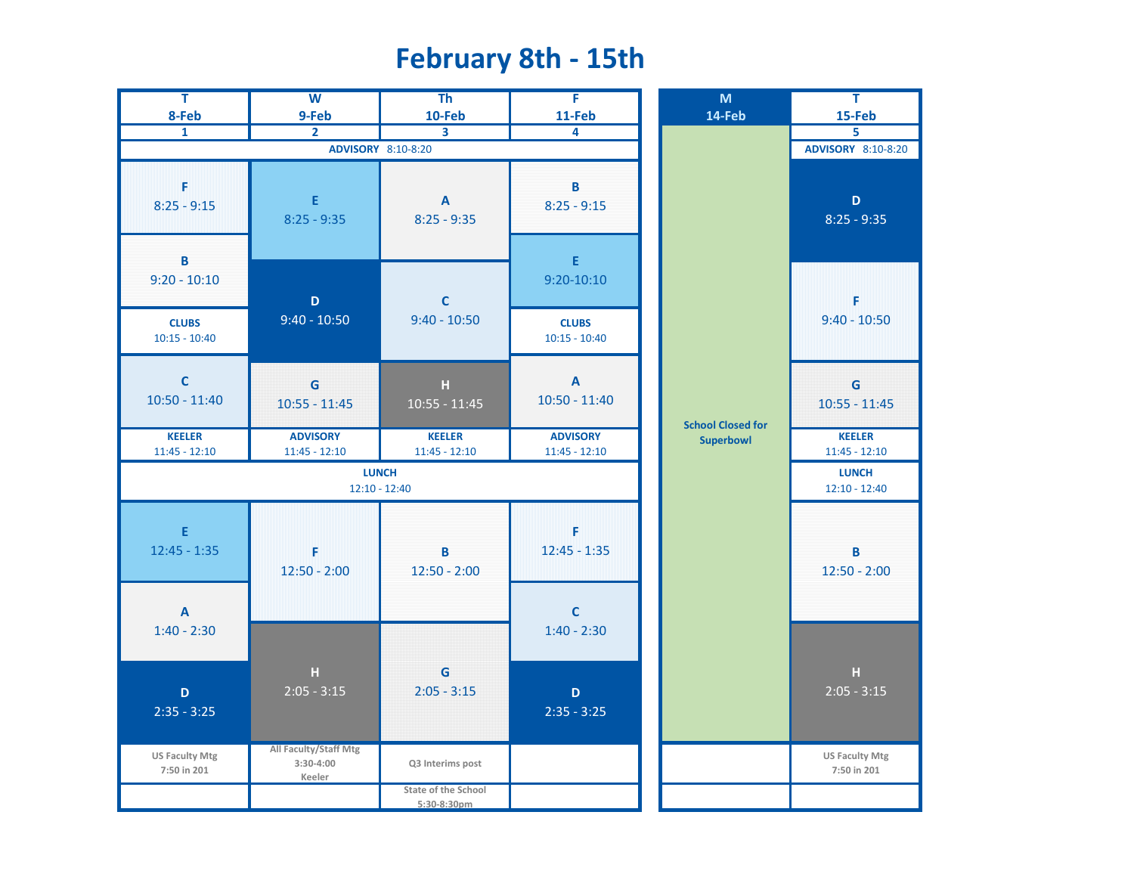#### **February 8th - 15th**

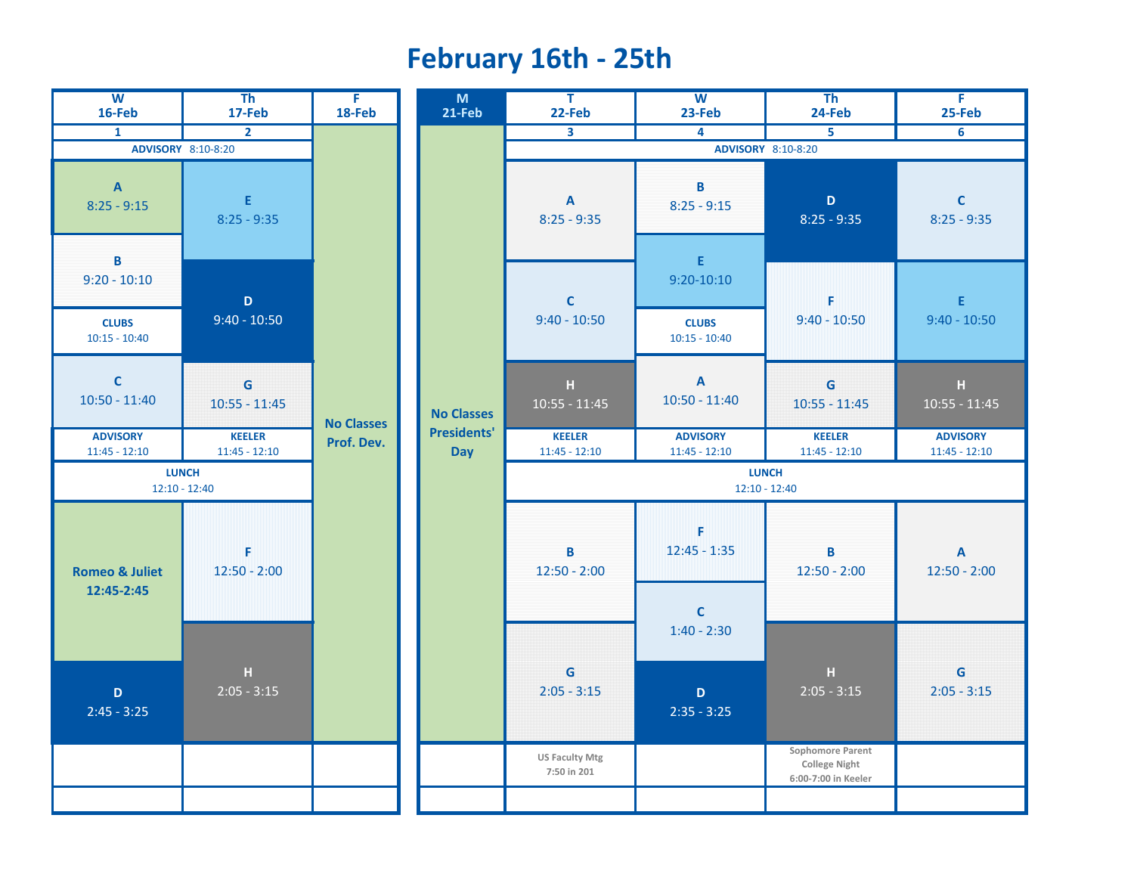## **February 16th - 25th**

| W<br>16-Feb                             | $\overline{\text{Th}}$<br>17-Feb | F.<br>18-Feb      |
|-----------------------------------------|----------------------------------|-------------------|
| 1                                       | $\overline{2}$                   |                   |
|                                         | <b>ADVISORY</b> 8:10-8:20        |                   |
| A<br>$8:25 - 9:15$                      | E.<br>$8:25 - 9:35$              |                   |
| в<br>$9:20 - 10:10$                     | D                                |                   |
| <b>CLUBS</b><br>$10:15 - 10:40$         | $9:40 - 10:50$                   |                   |
| C<br>$10:50 - 11:40$                    | G<br>$10:55 - 11:45$             | <b>No Classes</b> |
| <b>ADVISORY</b><br>$11:45 - 12:10$      | <b>KEELER</b><br>$11:45 - 12:10$ | Prof. Dev.        |
|                                         | <b>LUNCH</b><br>$12:10 - 12:40$  |                   |
| <b>Romeo &amp; Juliet</b><br>12:45-2:45 | F<br>$12:50 - 2:00$              |                   |
| D<br>$2:45 - 3:25$                      | H<br>$\overline{)2:05 - 3:15}$   |                   |
|                                         |                                  |                   |
|                                         |                                  |                   |

| W<br>16-Feb                                    | Th<br>17-Feb                     | F.<br>18-Feb | M<br>21-Feb                            | T.<br>22-Feb                         | W<br>23-Feb                                   | Th<br>24-Feb                                                    | F<br>25-Feb                                                                              |  |
|------------------------------------------------|----------------------------------|--------------|----------------------------------------|--------------------------------------|-----------------------------------------------|-----------------------------------------------------------------|------------------------------------------------------------------------------------------|--|
| $\mathbf{1}$                                   | $\overline{2}$                   |              |                                        | $\overline{\mathbf{3}}$              | 4                                             | 5                                                               | 6                                                                                        |  |
| ADVISORY 8:10-8:20                             |                                  |              |                                        |                                      | ADVISORY 8:10-8:20                            |                                                                 |                                                                                          |  |
| $\overline{A}$<br>$25 - 9:15$                  | E.<br>$8:25 - 9:35$              |              |                                        | $\mathbf{A}$<br>$8:25 - 9:35$        | B<br>$8:25 - 9:15$                            | $\mathbf D$<br>$8:25 - 9:35$                                    | $\mathbf{C}$<br>$8:25 - 9:35$                                                            |  |
| $\overline{B}$<br>$20 - 10:10$<br><b>CLUBS</b> | $\mathbf D$<br>$9:40 - 10:50$    |              |                                        | $\mathbf C$<br>$9:40 - 10:50$        | $\mathsf E$<br>$9:20 - 10:10$<br><b>CLUBS</b> | F<br>$9:40 - 10:50$                                             | E<br>$9:40 - 10:50$                                                                      |  |
| $:15 - 10:40$                                  |                                  |              |                                        |                                      | $10:15 - 10:40$                               |                                                                 |                                                                                          |  |
| $\overline{\mathbf{C}}$<br>$50 - 11:40$        | G<br>$10:55 - 11:45$             |              | <b>No Classes</b><br><b>No Classes</b> | $\mathbb H$<br>$10:55 - 11:45$       | $\mathbf{A}$<br>$10:50 - 11:40$               | G<br>$10:55 - 11:45$                                            | $\mathsf{H}% _{0}\left( t\right) \equiv\mathsf{H}_{0}\left( t\right)$<br>$10:55 - 11:45$ |  |
| <b>DVISORY</b><br>$:45 - 12:10$                | <b>KEELER</b><br>$11:45 - 12:10$ | Prof. Dev.   | <b>Presidents'</b><br><b>Day</b>       | <b>KEELER</b><br>$11:45 - 12:10$     | <b>ADVISORY</b><br>$11:45 - 12:10$            | <b>KEELER</b><br>$11:45 - 12:10$                                | <b>ADVISORY</b><br>$11:45 - 12:10$                                                       |  |
| $12:10 - 12:40$                                | <b>LUNCH</b>                     |              |                                        | <b>LUNCH</b><br>$12:10 - 12:40$      |                                               |                                                                 |                                                                                          |  |
| eo & Juliet<br>$2:45 - 2:45$                   | F<br>$12:50 - 2:00$              |              |                                        | B<br>$12:50 - 2:00$                  | F<br>$12:45 - 1:35$<br>$\mathbf{C}$           | В<br>$12:50 - 2:00$                                             | $\boldsymbol{\mathsf{A}}$<br>$12:50 - 2:00$                                              |  |
|                                                |                                  |              |                                        |                                      | $1:40 - 2:30$                                 |                                                                 |                                                                                          |  |
| D<br>$45 - 3:25$                               | $\mathbf H$<br>$2:05 - 3:15$     |              |                                        | G<br>$2:05 - 3:15$                   | $\mathbf D$<br>$2:35 - 3:25$                  | $\mathbf H$<br>$2:05 - 3:15$                                    | $\mathsf G$<br>$2:05 - 3:15$                                                             |  |
|                                                |                                  |              |                                        | <b>US Faculty Mtg</b><br>7:50 in 201 |                                               | Sophomore Parent<br><b>College Night</b><br>6:00-7:00 in Keeler |                                                                                          |  |
|                                                |                                  |              |                                        |                                      |                                               |                                                                 |                                                                                          |  |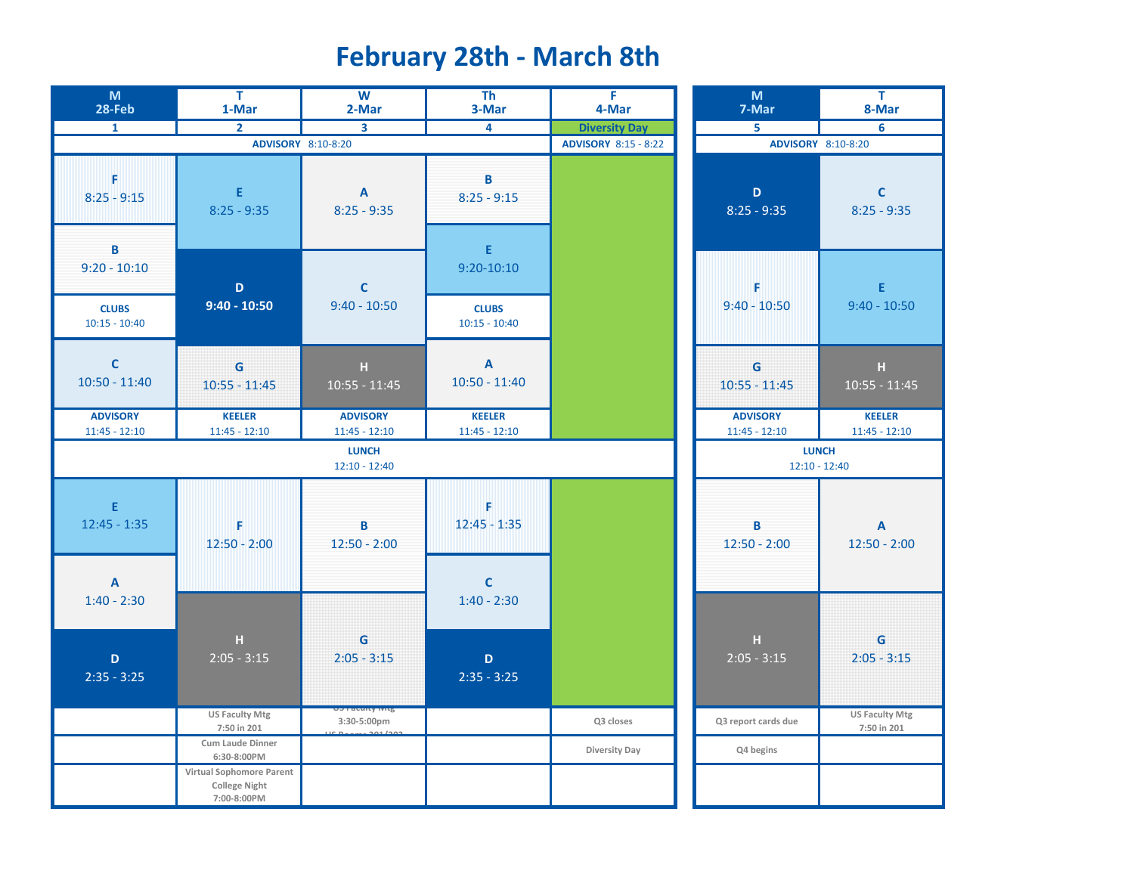# **February 28th - March 8th**

| M<br>28-Feb                                | $\overline{\mathsf{T}}$<br>1-Mar                                | $\overline{\mathsf{w}}$<br>2-Mar         | T <sub>h</sub><br>3-Mar          | $\overline{F}$<br>4-Mar     | M<br>7-Mar                         | $\overline{\mathsf{T}}$<br>8-Mar     |
|--------------------------------------------|-----------------------------------------------------------------|------------------------------------------|----------------------------------|-----------------------------|------------------------------------|--------------------------------------|
| $\mathbf{1}$                               | $\overline{2}$                                                  | 3                                        | $\overline{4}$                   | <b>Diversity Day</b>        | $\overline{5}$                     | 6                                    |
|                                            | ADVISORY 8:10-8:20                                              |                                          |                                  | <b>ADVISORY 8:15 - 8:22</b> |                                    | ADVISORY 8:10-8:20                   |
| F<br>$8:25 - 9:15$                         | E<br>$8:25 - 9:35$                                              | $\overline{\mathsf{A}}$<br>$8:25 - 9:35$ | B<br>$8:25 - 9:15$               |                             | $\mathbf D$<br>$8:25 - 9:35$       | $\mathbf{C}$<br>$8:25 - 9:35$        |
| B<br>$9:20 - 10:10$                        | $\mathbf D$                                                     | $\mathsf{C}$                             | $\mathsf E$<br>$9:20 - 10:10$    |                             | F                                  | E                                    |
| <b>CLUBS</b><br>$10:15 - 10:40$            | $9:40 - 10:50$                                                  | $9:40 - 10:50$                           | <b>CLUBS</b><br>$10:15 - 10:40$  |                             | $9:40 - 10:50$                     | $9:40 - 10:50$                       |
| $\mathbf C$<br>$10:50 - 11:40$             | G<br>$10:55 - 11:45$                                            | $\mathbf H$<br>$10:55 - 11:45$           | $\mathbf{A}$<br>$10:50 - 11:40$  |                             | G<br>$10:55 - 11:45$               | $\mathbf H$<br>$10:55 - 11:45$       |
| <b>ADVISORY</b><br>$11:45 - 12:10$         | <b>KEELER</b><br>$11:45 - 12:10$                                | <b>ADVISORY</b><br>$11:45 - 12:10$       | <b>KEELER</b><br>$11:45 - 12:10$ |                             | <b>ADVISORY</b><br>$11:45 - 12:10$ | <b>KEELER</b><br>$11:45 - 12:10$     |
|                                            |                                                                 | <b>LUNCH</b><br>$12:10 - 12:40$          |                                  |                             | $12:10 - 12:40$                    | <b>LUNCH</b>                         |
| E<br>$12:45 - 1:35$                        | F<br>$12:50 - 2:00$                                             | B<br>$12:50 - 2:00$                      | F<br>$12:45 - 1:35$              |                             | B<br>$12:50 - 2:00$                | $\mathbf{A}$<br>$12:50 - 2:00$       |
| $\boldsymbol{\mathsf{A}}$<br>$1:40 - 2:30$ |                                                                 |                                          | $\mathbf C$<br>$1:40 - 2:30$     |                             |                                    |                                      |
| $\mathbf D$<br>$2:35 - 3:25$               | $\mathbf H$<br>$2:05 - 3:15$                                    | G<br>$2:05 - 3:15$                       | $\mathbf D$<br>$2:35 - 3:25$     |                             | $\mathbf H$<br>$2:05 - 3:15$       | G<br>$2:05 - 3:15$                   |
|                                            | <b>US Faculty Mtg</b><br>7:50 in 201                            | 3:30-5:00pm                              |                                  | Q3 closes                   | Q3 report cards due                | <b>US Faculty Mtg</b><br>7:50 in 201 |
|                                            | Cum Laude Dinner<br>6:30-8:00PM                                 |                                          |                                  | Diversity Day               | Q4 begins                          |                                      |
|                                            | Virtual Sophomore Parent<br><b>College Night</b><br>7:00-8:00PM |                                          |                                  |                             |                                    |                                      |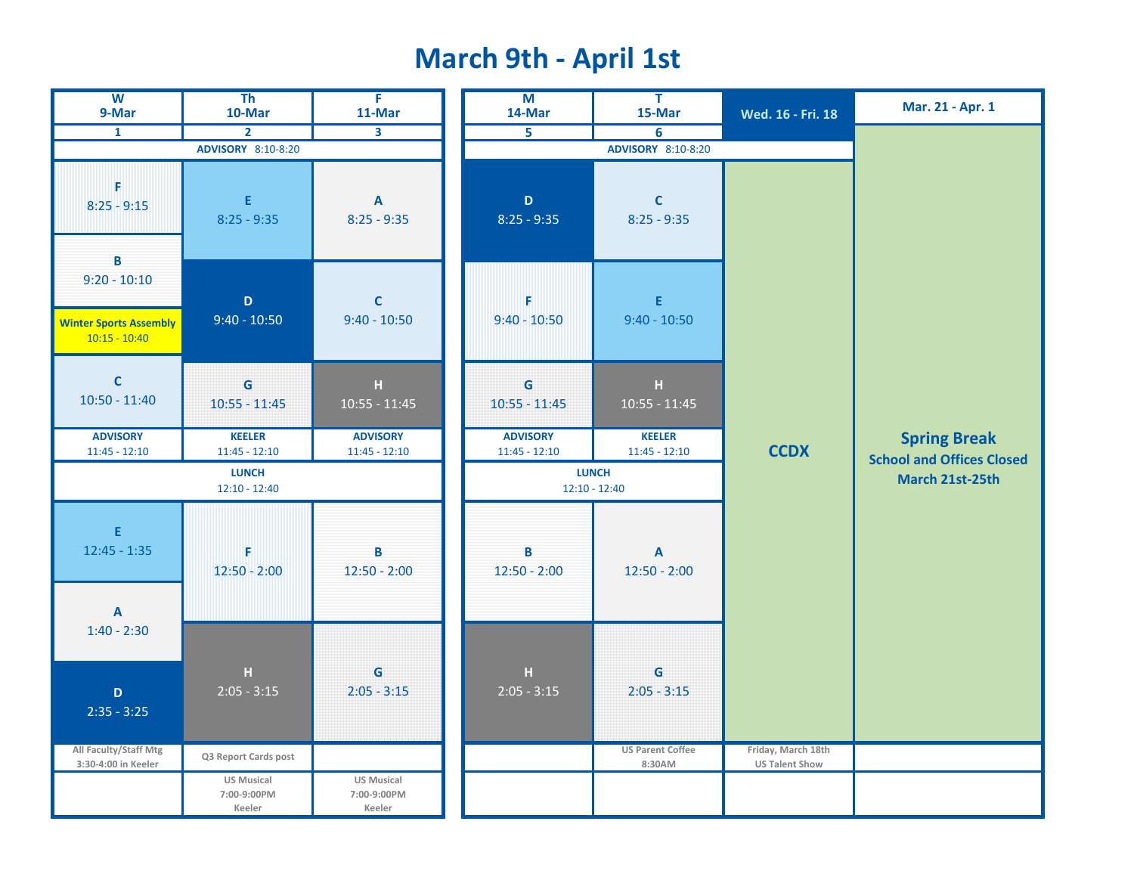## **March 9th - April 1st**

| $\overline{\mathbf{w}}$<br>9-Mar                                                   | T <sub>h</sub><br>10-Mar                   | $\overline{F}$<br>11-Mar                   | $\overline{M}$<br>14-Mar           | $\overline{\mathsf{T}}$<br>15-Mar | Wed. 16 - Fri. 18     | Mar. 21 - Apr. 1                                        |
|------------------------------------------------------------------------------------|--------------------------------------------|--------------------------------------------|------------------------------------|-----------------------------------|-----------------------|---------------------------------------------------------|
| $\mathbf{1}$                                                                       | $\overline{2}$                             | 3                                          | $\overline{5}$                     | 6                                 |                       |                                                         |
|                                                                                    | ADVISORY 8:10-8:20                         |                                            |                                    | ADVISORY 8:10-8:20                |                       |                                                         |
| F<br>$8:25 - 9:15$                                                                 | E.<br>$8:25 - 9:35$                        | $\mathbf{A}$<br>$8:25 - 9:35$              | $\mathbf D$<br>$8:25 - 9:35$       | $\mathbf{C}$<br>$8:25 - 9:35$     |                       |                                                         |
| $\, {\bf B}$<br>$9:20 - 10:10$<br><b>Winter Sports Assembly</b><br>$10:15 - 10:40$ | $\mathbf D$<br>$9:40 - 10:50$              | $\mathsf{C}$<br>$9:40 - 10:50$             | F<br>$9:40 - 10:50$                | E.<br>$9:40 - 10:50$              |                       |                                                         |
| $\mathbf C$<br>$10:50 - 11:40$                                                     | G<br>$10:55 - 11:45$                       | $\mathbf{H}$<br>$10:55 - 11:45$            | G<br>$10:55 - 11:45$               | н<br>$10:55 - 11:45$              |                       |                                                         |
| <b>ADVISORY</b><br>$11:45 - 12:10$                                                 | <b>KEELER</b><br>$11:45 - 12:10$           | <b>ADVISORY</b><br>$11:45 - 12:10$         | <b>ADVISORY</b><br>$11:45 - 12:10$ | <b>KEELER</b><br>$11:45 - 12:10$  | <b>CCDX</b>           | <b>Spring Break</b><br><b>School and Offices Closed</b> |
|                                                                                    | <b>LUNCH</b><br>$12:10 - 12:40$            |                                            |                                    | <b>LUNCH</b><br>$12:10 - 12:40$   |                       | March 21st-25th                                         |
| E<br>$12:45 - 1:35$                                                                | F<br>$12:50 - 2:00$                        | B<br>$12:50 - 2:00$                        | B<br>$12:50 - 2:00$                | $\mathbf{A}$<br>$12:50 - 2:00$    |                       |                                                         |
| A<br>$1:40 - 2:30$                                                                 |                                            |                                            |                                    |                                   |                       |                                                         |
| $\mathbf D$<br>$2:35 - 3:25$                                                       | $\mathbf H$<br>$2:05 - 3:15$               | G<br>$2:05 - 3:15$                         | $\mathbf H$<br>$2:05 - 3:15$       | G<br>$2:05 - 3:15$                |                       |                                                         |
| All Faculty/Staff Mtg                                                              | Q3 Report Cards post                       |                                            |                                    | <b>US Parent Coffee</b>           | Friday, March 18th    |                                                         |
| 3:30-4:00 in Keeler                                                                | <b>US Musical</b><br>7:00-9:00PM<br>Keeler | <b>US Musical</b><br>7:00-9:00PM<br>Keeler |                                    | 8:30AM                            | <b>US Talent Show</b> |                                                         |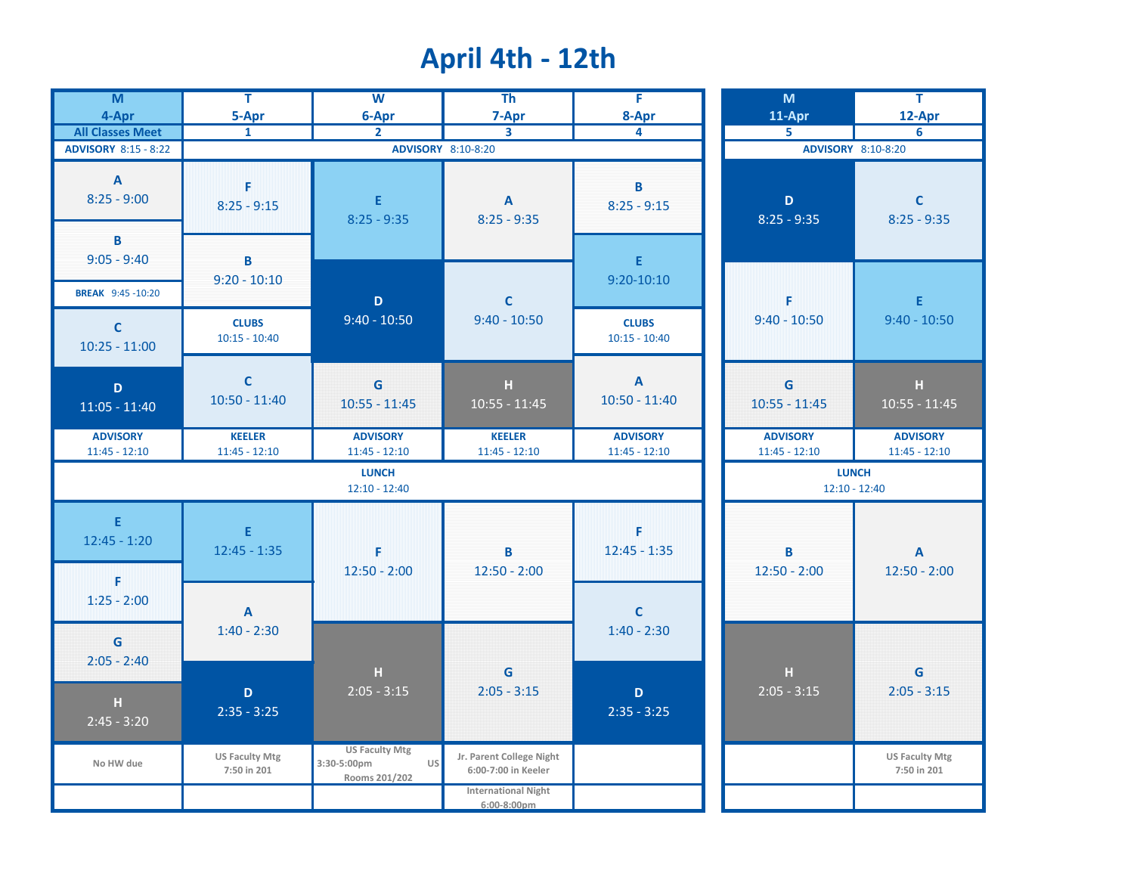# **April 4th - 12th**

| $\overline{\mathsf{M}}$<br>4-Apr              | $\overline{\mathsf{T}}$<br>5-Apr     | $\overline{w}$<br>6-Apr                                            | T <sub>h</sub><br>7-Apr                         | F<br>8-Apr                         | M<br>11-Apr                        | Ŧ<br>12-Apr                          |
|-----------------------------------------------|--------------------------------------|--------------------------------------------------------------------|-------------------------------------------------|------------------------------------|------------------------------------|--------------------------------------|
| <b>All Classes Meet</b>                       | $\mathbf{1}$                         | $\overline{2}$                                                     | $\mathbf{3}$                                    | 4                                  | 5                                  | 6                                    |
| <b>ADVISORY 8:15 - 8:22</b>                   |                                      |                                                                    | ADVISORY 8:10-8:20                              |                                    |                                    | ADVISORY 8:10-8:20                   |
| $\mathbf{A}$<br>$8:25 - 9:00$<br>B            | F<br>$8:25 - 9:15$                   | E<br>$8:25 - 9:35$                                                 | $\mathbf{A}$<br>$8:25 - 9:35$                   | B<br>$8:25 - 9:15$                 | $\mathbf D$<br>$8:25 - 9:35$       | $\mathsf{C}$<br>$8:25 - 9:35$        |
| $9:05 - 9:40$<br><b>BREAK</b> 9:45 -10:20     | B<br>$9:20 - 10:10$                  |                                                                    |                                                 | E<br>$9:20 - 10:10$                |                                    |                                      |
| $\mathsf{C}$<br>$10:25 - 11:00$               | <b>CLUBS</b><br>$10:15 - 10:40$      | $\mathbf D$<br>$9:40 - 10:50$                                      | $\mathbf c$<br>$9:40 - 10:50$                   | <b>CLUBS</b><br>$10:15 - 10:40$    | F<br>$9:40 - 10:50$                | E<br>$9:40 - 10:50$                  |
| D<br>$11:05 - 11:40$                          | $\mathbf{C}$<br>$10:50 - 11:40$      | G<br>$10:55 - 11:45$                                               | H<br>$10:55 - 11:45$                            | $\mathbf{A}$<br>$10:50 - 11:40$    | G<br>$10:55 - 11:45$               | $\mathbf H$<br>$10:55 - 11:45$       |
| <b>ADVISORY</b><br>$11:45 - 12:10$            | <b>KEELER</b><br>$11:45 - 12:10$     | <b>ADVISORY</b><br>$11:45 - 12:10$                                 | <b>KEELER</b><br>$11:45 - 12:10$                | <b>ADVISORY</b><br>$11:45 - 12:10$ | <b>ADVISORY</b><br>$11:45 - 12:10$ | <b>ADVISORY</b><br>$11:45 - 12:10$   |
|                                               |                                      | <b>LUNCH</b><br>$12:10 - 12:40$                                    |                                                 |                                    |                                    | <b>LUNCH</b><br>$12:10 - 12:40$      |
| E<br>$12:45 - 1:20$<br>F                      | E<br>$12:45 - 1:35$                  | F<br>$12:50 - 2:00$                                                | B<br>$12:50 - 2:00$                             | F<br>$12:45 - 1:35$                | B<br>$12:50 - 2:00$                | $\mathbf{A}$<br>$12:50 - 2:00$       |
| $1:25 - 2:00$<br>$\mathbf G$                  | $\mathbf{A}$<br>$1:40 - 2:30$        |                                                                    |                                                 | $\mathbf C$<br>$1:40 - 2:30$       |                                    |                                      |
| $2:05 - 2:40$<br>$\mathbb H$<br>$2:45 - 3:20$ | $\mathbf D$<br>$2:35 - 3:25$         | н<br>$2:05 - 3:15$                                                 | G<br>$2:05 - 3:15$                              | $\mathbf D$<br>$2:35 - 3:25$       | $\mathbf H$<br>$2:05 - 3:15$       | G<br>$2:05 - 3:15$                   |
| No HW due                                     | <b>US Faculty Mtg</b><br>7:50 in 201 | <b>US Faculty Mtg</b><br><b>US</b><br>3:30-5:00pm<br>Rooms 201/202 | Jr. Parent College Night<br>6:00-7:00 in Keeler |                                    |                                    | <b>US Faculty Mtg</b><br>7:50 in 201 |
|                                               |                                      |                                                                    | <b>International Night</b><br>$6:00-8:00$ pm    |                                    |                                    |                                      |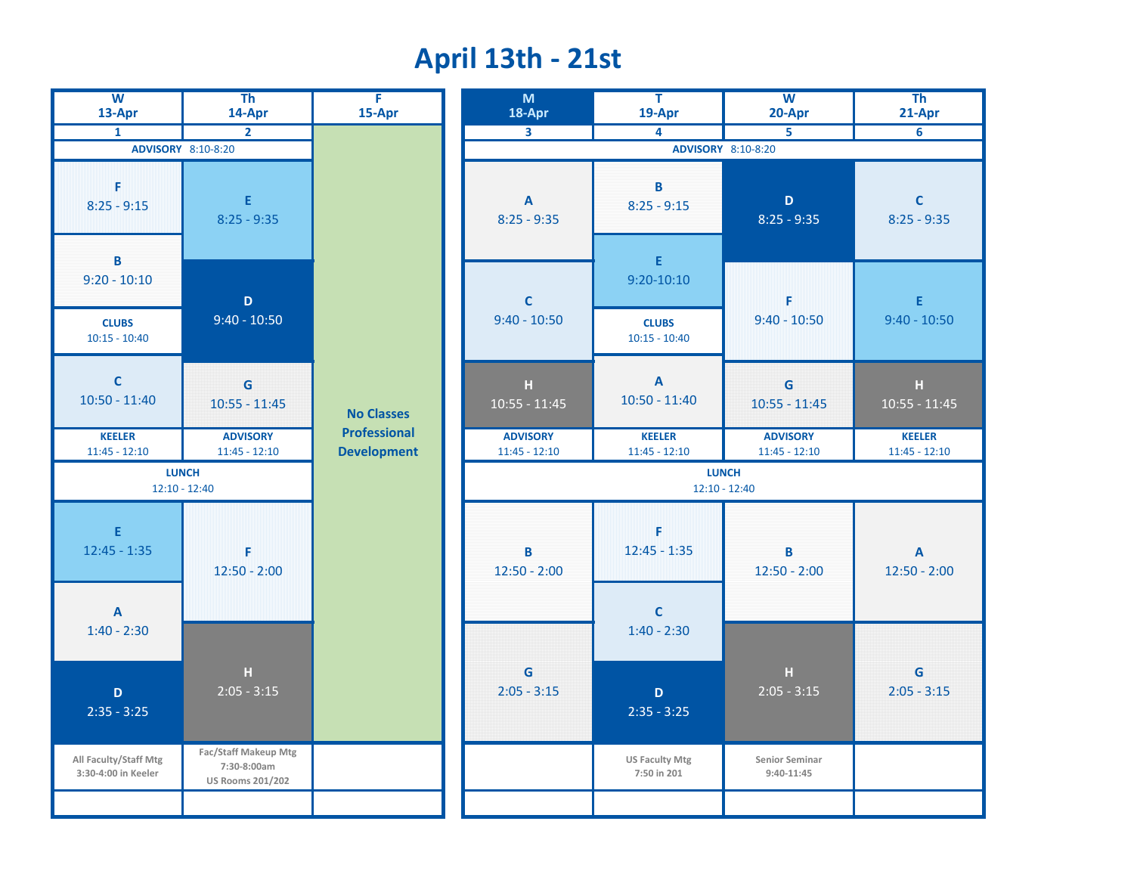#### **April 13th - 21st**

| $\overline{\mathbf{w}}$<br>13-Apr                      | T <sub>h</sub><br>14-Apr                                       | $\overline{F}$<br>15-Apr                  | M<br>18-Apr                                | $\overline{\mathsf{T}}$<br>19-Apr                      | $\overline{W}$<br>20-Apr           | T <sub>h</sub><br>21-Apr                    |
|--------------------------------------------------------|----------------------------------------------------------------|-------------------------------------------|--------------------------------------------|--------------------------------------------------------|------------------------------------|---------------------------------------------|
| $\mathbf{1}$                                           | $\overline{2}$                                                 |                                           | $\overline{\mathbf{3}}$                    | 4                                                      | 5                                  | 6                                           |
|                                                        | ADVISORY 8:10-8:20                                             |                                           |                                            |                                                        | <b>ADVISORY</b> 8:10-8:20          |                                             |
| F<br>$8:25 - 9:15$                                     | E.<br>$8:25 - 9:35$                                            |                                           | $\boldsymbol{\mathsf{A}}$<br>$8:25 - 9:35$ | B<br>$8:25 - 9:15$                                     | D<br>$8:25 - 9:35$                 | $\mathbf{C}$<br>$8:25 - 9:35$               |
| B<br>$9:20 - 10:10$<br><b>CLUBS</b><br>$10:15 - 10:40$ | $\mathbf D$<br>$9:40 - 10:50$                                  |                                           | $\mathsf{C}$<br>$9:40 - 10:50$             | E<br>$9:20 - 10:10$<br><b>CLUBS</b><br>$10:15 - 10:40$ | F<br>$9:40 - 10:50$                | E.<br>$9:40 - 10:50$                        |
| $\mathsf{C}$<br>$10:50 - 11:40$                        | G<br>$10:55 - 11:45$                                           | <b>No Classes</b>                         | H<br>$10:55 - 11:45$                       | $\boldsymbol{\mathsf{A}}$<br>$10:50 - 11:40$           | G<br>$10:55 - 11:45$               | $\mathbf H$<br>$10:55 - 11:45$              |
| <b>KEELER</b><br>$11:45 - 12:10$                       | <b>ADVISORY</b><br>$11:45 - 12:10$                             | <b>Professional</b><br><b>Development</b> | <b>ADVISORY</b><br>$11:45 - 12:10$         | <b>KEELER</b><br>$11:45 - 12:10$                       | <b>ADVISORY</b><br>$11:45 - 12:10$ | <b>KEELER</b><br>$11:45 - 12:10$            |
|                                                        | <b>LUNCH</b><br>$12:10 - 12:40$                                |                                           | <b>LUNCH</b><br>$12:10 - 12:40$            |                                                        |                                    |                                             |
| E<br>$12:45 - 1:35$<br>$\overline{A}$                  | F<br>$12:50 - 2:00$                                            |                                           | B<br>$12:50 - 2:00$                        | F<br>$12:45 - 1:35$<br>$\mathbf{C}$                    | B<br>$12:50 - 2:00$                | $\boldsymbol{\mathsf{A}}$<br>$12:50 - 2:00$ |
| $1:40 - 2:30$                                          |                                                                |                                           |                                            | $1:40 - 2:30$                                          |                                    |                                             |
| $\mathbf D$<br>$2:35 - 3:25$                           | H<br>$2:05 - 3:15$                                             |                                           | G<br>$2:05 - 3:15$                         | $\mathbf D$<br>$2:35 - 3:25$                           | H<br>$2:05 - 3:15$                 | G<br>$2:05 - 3:15$                          |
| All Faculty/Staff Mtg<br>3:30-4:00 in Keeler           | Fac/Staff Makeup Mtg<br>7:30-8:00am<br><b>US Rooms 201/202</b> |                                           |                                            | <b>US Faculty Mtg</b><br>7:50 in 201                   | Senior Seminar<br>$9:40-11:45$     |                                             |
|                                                        |                                                                |                                           |                                            |                                                        |                                    |                                             |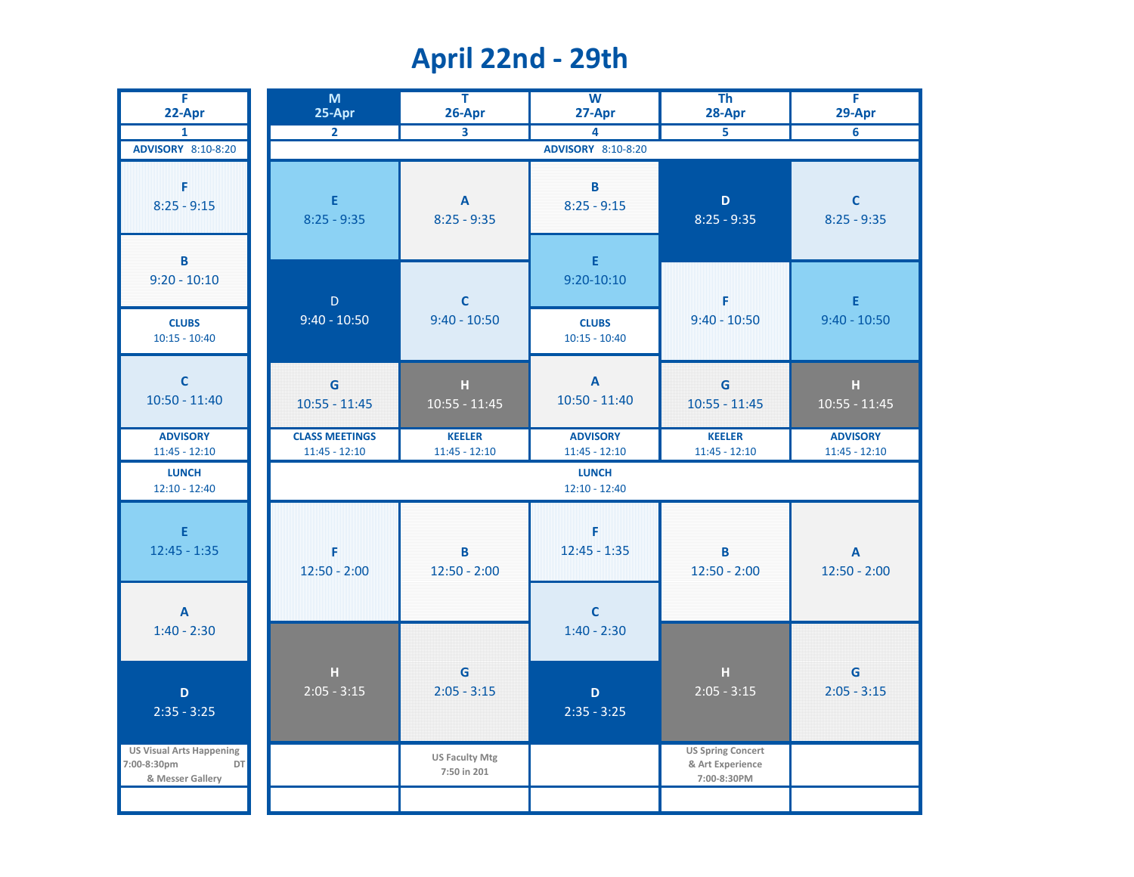## **April 22nd - 29th**

| Ŧ<br>22-Apr                                                              | M<br>25-Apr                              | $\overline{\mathsf{T}}$<br>26-Apr          | $\overline{W}$<br>27-Apr           | T <sub>h</sub><br>28-Apr                                    | Ŧ<br>29-Apr                                 |
|--------------------------------------------------------------------------|------------------------------------------|--------------------------------------------|------------------------------------|-------------------------------------------------------------|---------------------------------------------|
| $\mathbf{1}$                                                             | $\overline{2}$                           |                                            | 4                                  | $\overline{5}$                                              | $\overline{6}$                              |
| ADVISORY 8:10-8:20                                                       |                                          |                                            | ADVISORY 8:10-8:20                 |                                                             |                                             |
| F<br>$8:25 - 9:15$<br>$\, {\bf B}$                                       | E<br>$8:25 - 9:35$                       | $\boldsymbol{\mathsf{A}}$<br>$8:25 - 9:35$ | B<br>$8:25 - 9:15$<br>$\mathsf E$  | $\mathbf D$<br>$8:25 - 9:35$                                | $\mathbf C$<br>$8:25 - 9:35$                |
| $9:20 - 10:10$                                                           | $\mathsf D$                              | $\mathbf c$                                | $9:20 - 10:10$                     | F                                                           | E                                           |
| <b>CLUBS</b><br>$10:15 - 10:40$                                          | $9:40 - 10:50$                           | $9:40 - 10:50$                             | <b>CLUBS</b><br>$10:15 - 10:40$    | $9:40 - 10:50$                                              | $9:40 - 10:50$                              |
| $\mathbf c$<br>$10:50 - 11:40$                                           | G<br>$10:55 - 11:45$                     | $\mathbf H$<br>$10:55 - 11:45$             | $\mathbf{A}$<br>$10:50 - 11:40$    | G<br>$10:55 - 11:45$                                        | $\mathbf H$<br>$10:55 - 11:45$              |
| <b>ADVISORY</b><br>$11:45 - 12:10$                                       | <b>CLASS MEETINGS</b><br>$11:45 - 12:10$ | <b>KEELER</b><br>$11:45 - 12:10$           | <b>ADVISORY</b><br>$11:45 - 12:10$ | <b>KEELER</b><br>$11:45 - 12:10$                            | <b>ADVISORY</b><br>$11:45 - 12:10$          |
| <b>LUNCH</b><br>$12:10 - 12:40$                                          |                                          |                                            | <b>LUNCH</b><br>$12:10 - 12:40$    |                                                             |                                             |
| $\mathsf E$<br>$12:45 - 1:35$                                            | F<br>$12:50 - 2:00$                      | B<br>$12:50 - 2:00$                        | F<br>$12:45 - 1:35$                | $\overline{\mathbf{B}}$<br>$12:50 - 2:00$                   | $\boldsymbol{\mathsf{A}}$<br>$12:50 - 2:00$ |
| $\boldsymbol{\mathsf{A}}$<br>$1:40 - 2:30$                               |                                          |                                            | $\mathbf C$<br>$1:40 - 2:30$       |                                                             |                                             |
| $\mathbf D$<br>$2:35 - 3:25$                                             | $\mathbf H$<br>$2:05 - 3:15$             | $\mathbf G$<br>$2:05 - 3:15$               | $\mathbf D$<br>$2:35 - 3:25$       | $\mathbf H$<br>$2:05 - 3:15$                                | $\mathbf G$<br>$2:05 - 3:15$                |
| <b>US Visual Arts Happening</b><br>7:00-8:30pm<br>DT<br>& Messer Gallery |                                          | <b>US Faculty Mtg</b><br>7:50 in 201       |                                    | <b>US Spring Concert</b><br>& Art Experience<br>7:00-8:30PM |                                             |
|                                                                          |                                          |                                            |                                    |                                                             |                                             |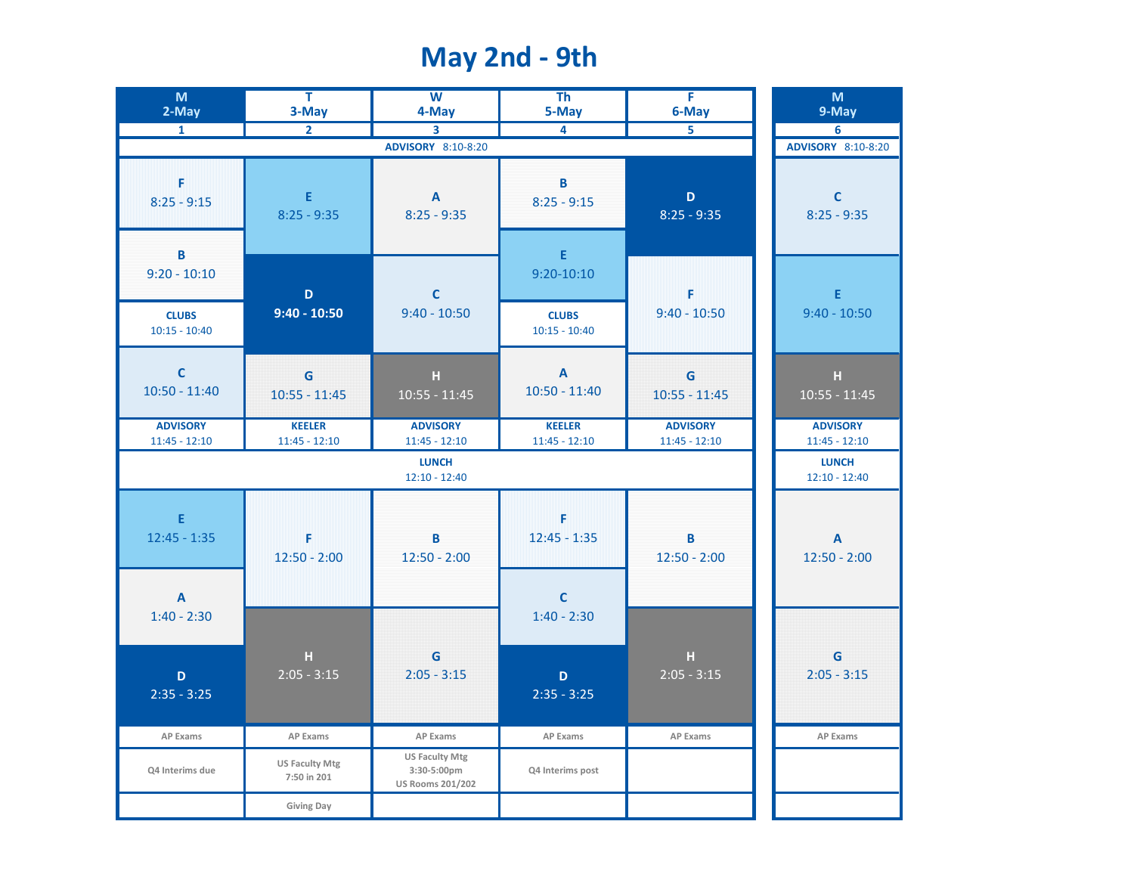## **May 2nd - 9th**

| M<br>2-May                                 | Ŧ<br>3-May                           | $\overline{\mathsf{w}}$<br>4-May                                | $\overline{\text{Th}}$<br>5-May            | Ŧ<br>6-May                         | M<br>9-May                         |
|--------------------------------------------|--------------------------------------|-----------------------------------------------------------------|--------------------------------------------|------------------------------------|------------------------------------|
| $\mathbf{1}$                               | $\overline{2}$                       | 3                                                               | 4                                          |                                    | 6                                  |
|                                            |                                      | ADVISORY 8:10-8:20                                              |                                            |                                    | ADVISORY 8:10-8:20                 |
| F<br>$8:25 - 9:15$                         | E<br>$8:25 - 9:35$                   | $\boldsymbol{\mathsf{A}}$<br>$8:25 - 9:35$                      | B<br>$8:25 - 9:15$                         | $\mathsf D$<br>$8:25 - 9:35$       | $\mathbf c$<br>$8:25 - 9:35$       |
| B<br>$9:20 - 10:10$                        | D                                    | $\mathbf c$                                                     | E<br>$9:20 - 10:10$                        | F                                  | E                                  |
| <b>CLUBS</b><br>$10:15 - 10:40$            | $9:40 - 10:50$                       | $9:40 - 10:50$                                                  | <b>CLUBS</b><br>$10:15 - 10:40$            | $9:40 - 10:50$                     | $9:40 - 10:50$                     |
| $\mathbf C$<br>$10:50 - 11:40$             | G<br>$10:55 - 11:45$                 | $\mathbf H$<br>$10:55 - 11:45$                                  | $\overline{\mathsf{A}}$<br>$10:50 - 11:40$ | G<br>$10:55 - 11:45$               | $\mathbf H$<br>$10:55 - 11:45$     |
| <b>ADVISORY</b><br>$11:45 - 12:10$         | <b>KEELER</b><br>$11:45 - 12:10$     | <b>ADVISORY</b><br>$11:45 - 12:10$                              | <b>KEELER</b><br>$11:45 - 12:10$           | <b>ADVISORY</b><br>$11:45 - 12:10$ | <b>ADVISORY</b><br>$11:45 - 12:10$ |
|                                            |                                      | <b>LUNCH</b><br>$12:10 - 12:40$                                 |                                            |                                    | <b>LUNCH</b><br>$12:10 - 12:40$    |
| E<br>$12:45 - 1:35$                        | F<br>$12:50 - 2:00$                  | B<br>$12:50 - 2:00$                                             | F<br>$12:45 - 1:35$                        | B<br>$12:50 - 2:00$                | A<br>$12:50 - 2:00$                |
| $\boldsymbol{\mathsf{A}}$<br>$1:40 - 2:30$ |                                      |                                                                 | $\mathbf C$<br>$1:40 - 2:30$               |                                    |                                    |
| $\mathbf D$<br>$2:35 - 3:25$               | $\mathbf H$<br>$2:05 - 3:15$         | G<br>$2:05 - 3:15$                                              | D<br>$2:35 - 3:25$                         | $\mathbf{H}$<br>$2:05 - 3:15$      | G<br>$2:05 - 3:15$                 |
| AP Exams                                   | <b>AP Exams</b>                      | AP Exams                                                        | <b>AP Exams</b>                            | <b>AP Exams</b>                    | <b>AP Exams</b>                    |
| Q4 Interims due                            | <b>US Faculty Mtg</b><br>7:50 in 201 | <b>US Faculty Mtg</b><br>3:30-5:00pm<br><b>US Rooms 201/202</b> | Q4 Interims post                           |                                    |                                    |
|                                            | <b>Giving Day</b>                    |                                                                 |                                            |                                    |                                    |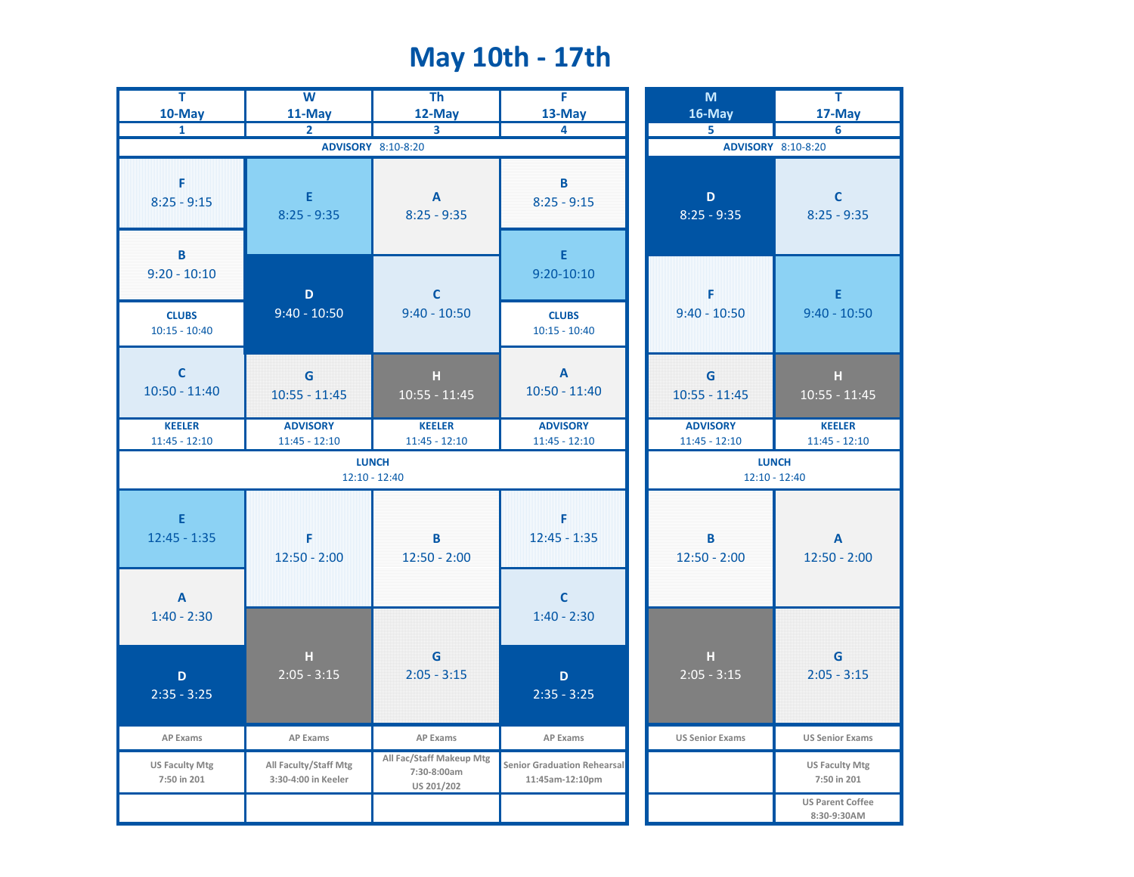## **May 10th - 17th**

| Ŧ<br>10-May                                       | $\overline{\mathsf{w}}$<br>11-May            | $\overline{\text{Th}}$<br>12-May                      | F<br>13-May                                           | M<br>16-May                        | Ŧ<br>17-May                                 |
|---------------------------------------------------|----------------------------------------------|-------------------------------------------------------|-------------------------------------------------------|------------------------------------|---------------------------------------------|
| $\mathbf{1}$                                      | $\overline{2}$                               | 3                                                     | 4                                                     | 5                                  | 6                                           |
|                                                   | ADVISORY 8:10-8:20                           | ADVISORY 8:10-8:20                                    |                                                       |                                    |                                             |
| F<br>$8:25 - 9:15$<br>B                           | Ε<br>$8:25 - 9:35$                           | A<br>$8:25 - 9:35$                                    | B<br>$8:25 - 9:15$<br>$\mathsf E$                     | $\mathbf D$<br>$8:25 - 9:35$       | $\mathbf C$<br>$8:25 - 9:35$                |
| $9:20 - 10:10$<br><b>CLUBS</b>                    | $\mathbf D$<br>$9:40 - 10:50$                | $\mathsf{C}$<br>$9:40 - 10:50$                        | $9:20 - 10:10$<br><b>CLUBS</b>                        | F<br>$9:40 - 10:50$                | E<br>$9:40 - 10:50$                         |
| $10:15 - 10:40$<br>$\mathbf c$<br>$10:50 - 11:40$ | G<br>$10:55 - 11:45$                         | H<br>$10:55 - 11:45$                                  | $10:15 - 10:40$<br>$\mathbf{A}$<br>$10:50 - 11:40$    | G<br>$10:55 - 11:45$               | $\mathbf H$<br>$10:55 - 11:45$              |
| <b>KEELER</b><br>$11:45 - 12:10$                  | <b>ADVISORY</b><br>$11:45 - 12:10$           | <b>KEELER</b><br>$11:45 - 12:10$                      | <b>ADVISORY</b><br>$11:45 - 12:10$                    | <b>ADVISORY</b><br>$11:45 - 12:10$ | <b>KEELER</b><br>$11:45 - 12:10$            |
|                                                   | <b>LUNCH</b><br>$12:10 - 12:40$              | <b>LUNCH</b><br>$12:10 - 12:40$                       |                                                       |                                    |                                             |
| E<br>$12:45 - 1:35$                               | F<br>$12:50 - 2:00$                          | B<br>$12:50 - 2:00$                                   | F<br>$12:45 - 1:35$                                   | B<br>$12:50 - 2:00$                | $\boldsymbol{\mathsf{A}}$<br>$12:50 - 2:00$ |
| $\mathbf{A}$<br>$1:40 - 2:30$                     |                                              |                                                       | $\mathbf c$<br>$1:40 - 2:30$                          |                                    |                                             |
| $\mathbf D$<br>$2:35 - 3:25$                      | $\mathbf H$<br>$2:05 - 3:15$                 | G<br>$2:05 - 3:15$                                    | $\mathbf D$<br>$2:35 - 3:25$                          | $\mathbf H$<br>$2:05 - 3:15$       | $\mathbf G$<br>$2:05 - 3:15$                |
| AP Exams                                          | AP Exams                                     | AP Exams                                              | AP Exams                                              | <b>US Senior Exams</b>             | <b>US Senior Exams</b>                      |
| <b>US Faculty Mtg</b><br>7:50 in 201              | All Faculty/Staff Mtg<br>3:30-4:00 in Keeler | All Fac/Staff Makeup Mtg<br>7:30-8:00am<br>US 201/202 | <b>Senior Graduation Rehearsal</b><br>11:45am-12:10pm |                                    | <b>US Faculty Mtg</b><br>7:50 in 201        |
|                                                   |                                              |                                                       |                                                       |                                    | <b>US Parent Coffee</b><br>8:30-9:30AM      |